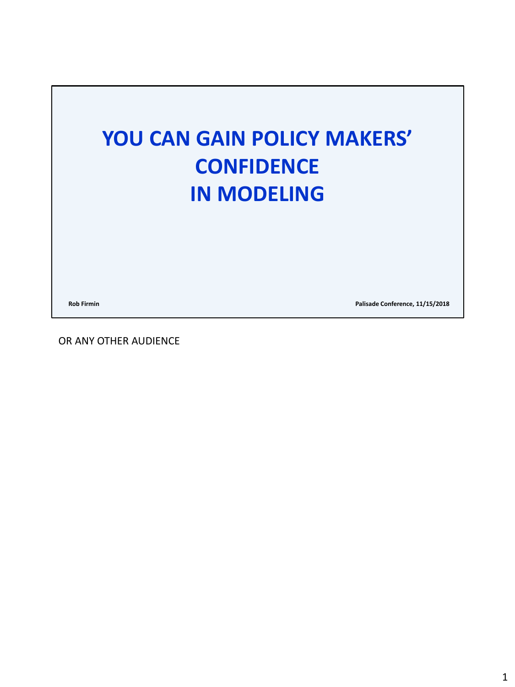

**Rob Firmin Palisade Conference, 11/15/2018**

OR ANY OTHER AUDIENCE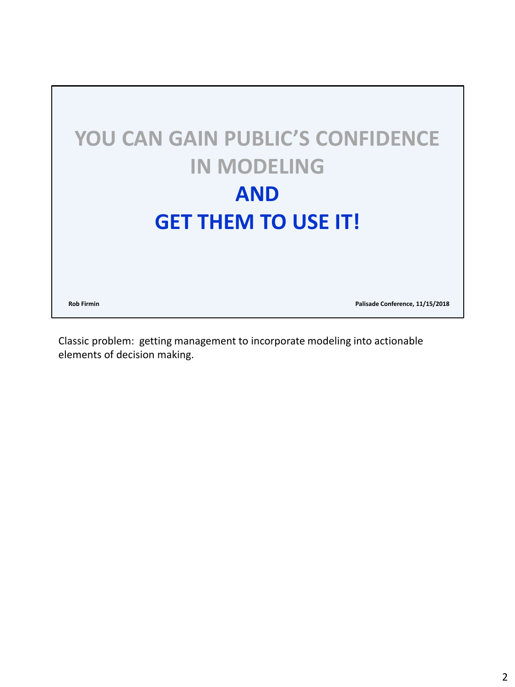

Classic problem: getting management to incorporate modeling into actionable elements of decision making.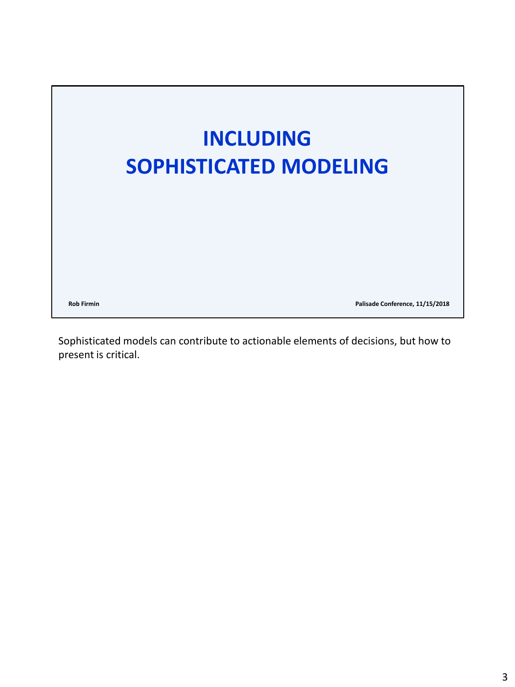

Sophisticated models can contribute to actionable elements of decisions, but how to present is critical.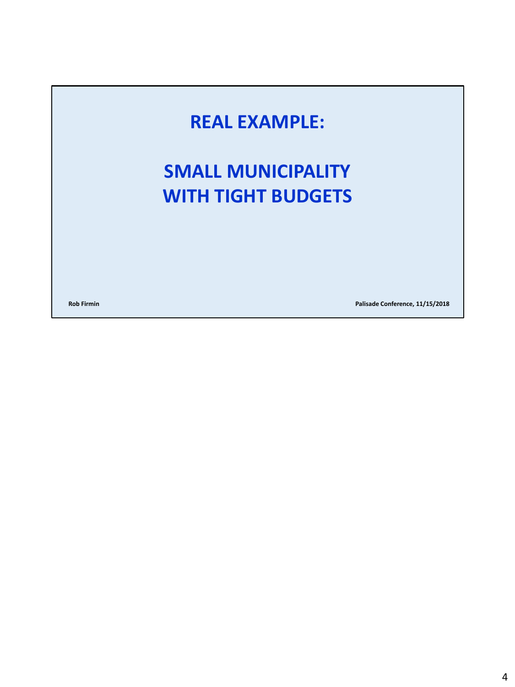#### **REAL EXAMPLE:**

#### **SMALL MUNICIPALITY WITH TIGHT BUDGETS**

**Rob Firmin Palisade Conference, 11/15/2018**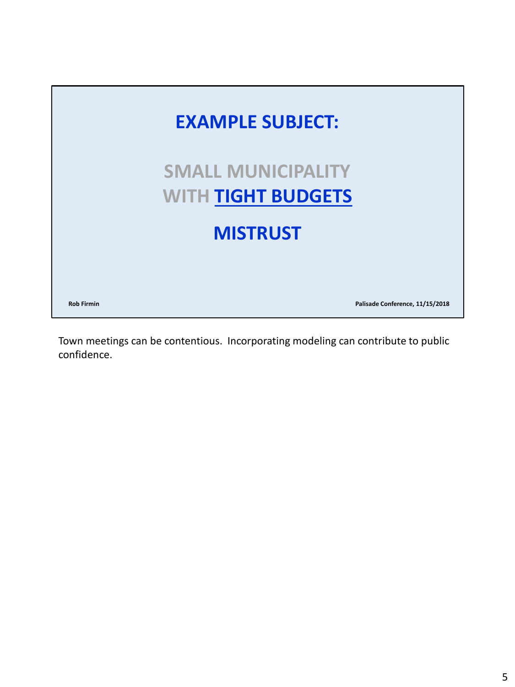

Town meetings can be contentious. Incorporating modeling can contribute to public confidence.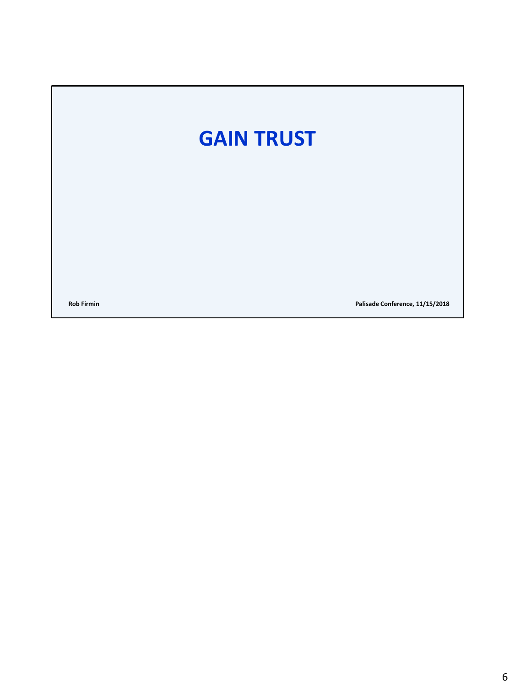### **GAIN TRUST**

**Rob Firmin Palisade Conference, 11/15/2018**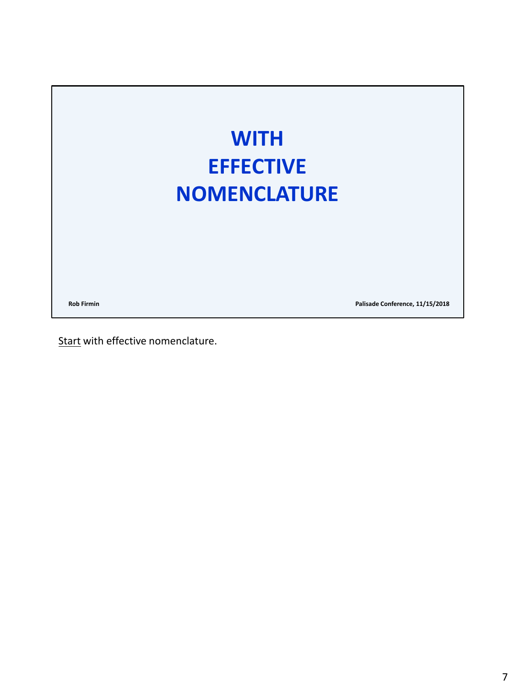

Start with effective nomenclature.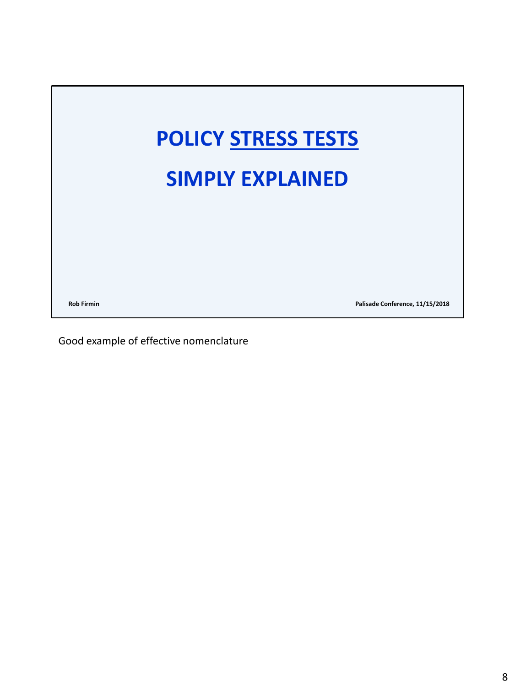

Good example of effective nomenclature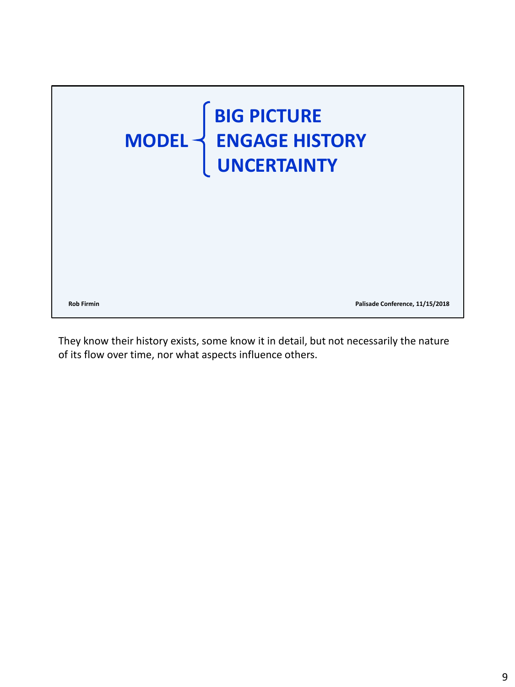

They know their history exists, some know it in detail, but not necessarily the nature of its flow over time, nor what aspects influence others.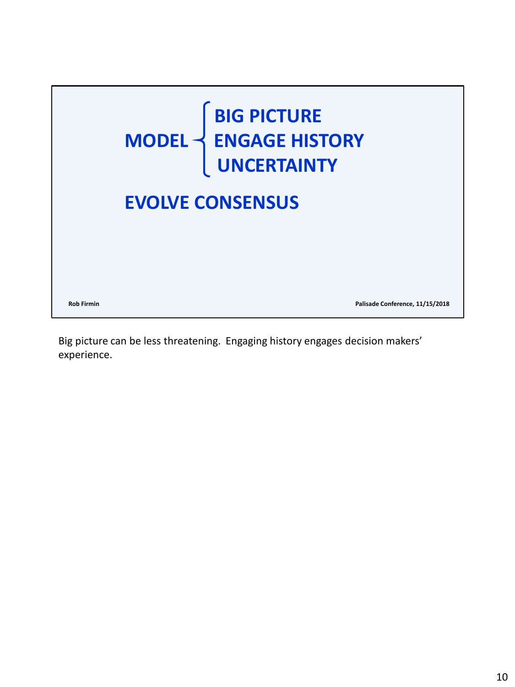

Big picture can be less threatening. Engaging history engages decision makers' experience.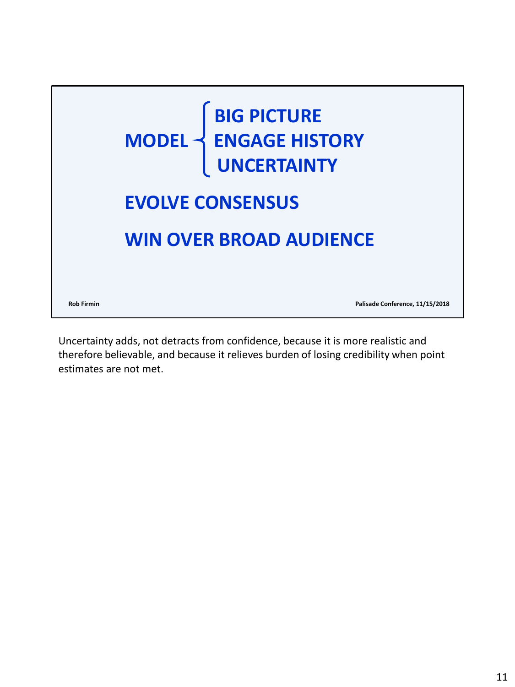

Uncertainty adds, not detracts from confidence, because it is more realistic and therefore believable, and because it relieves burden of losing credibility when point estimates are not met.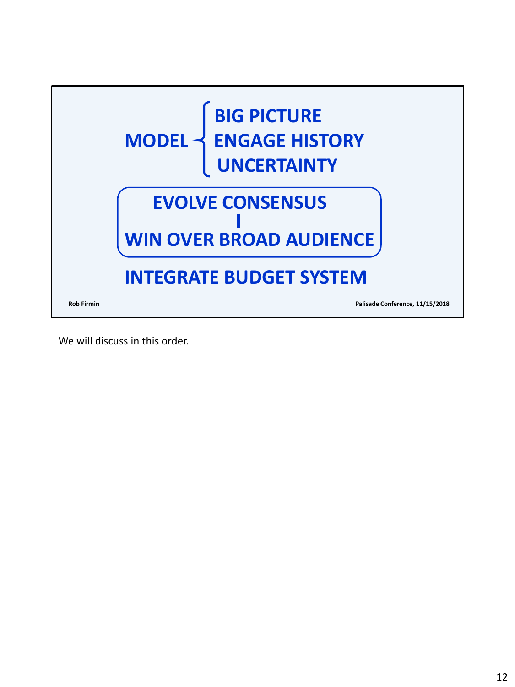

We will discuss in this order.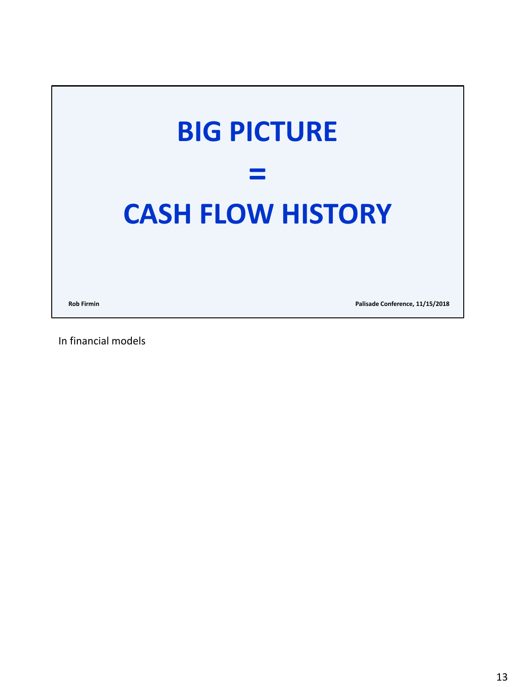

In financial models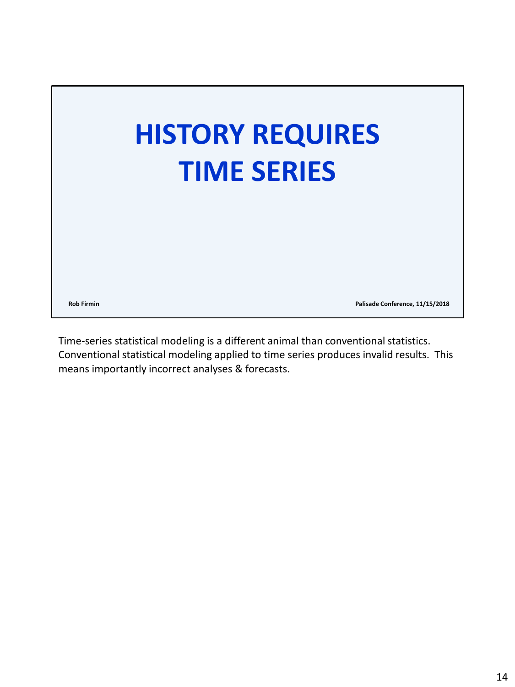

Time-series statistical modeling is a different animal than conventional statistics. Conventional statistical modeling applied to time series produces invalid results. This means importantly incorrect analyses & forecasts.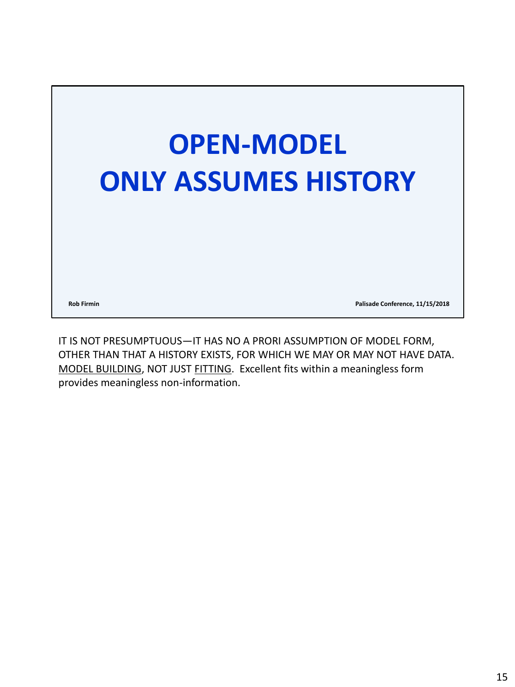

IT IS NOT PRESUMPTUOUS—IT HAS NO A PRORI ASSUMPTION OF MODEL FORM, OTHER THAN THAT A HISTORY EXISTS, FOR WHICH WE MAY OR MAY NOT HAVE DATA. MODEL BUILDING, NOT JUST FITTING. Excellent fits within a meaningless form provides meaningless non-information.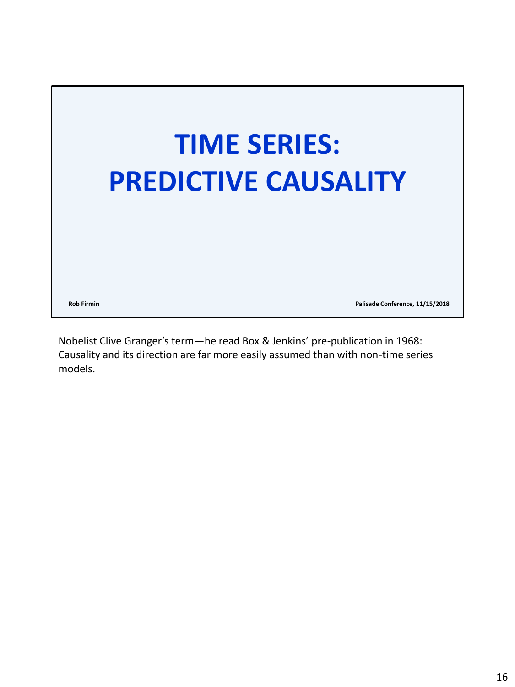

Nobelist Clive Granger's term—he read Box & Jenkins' pre-publication in 1968: Causality and its direction are far more easily assumed than with non-time series models.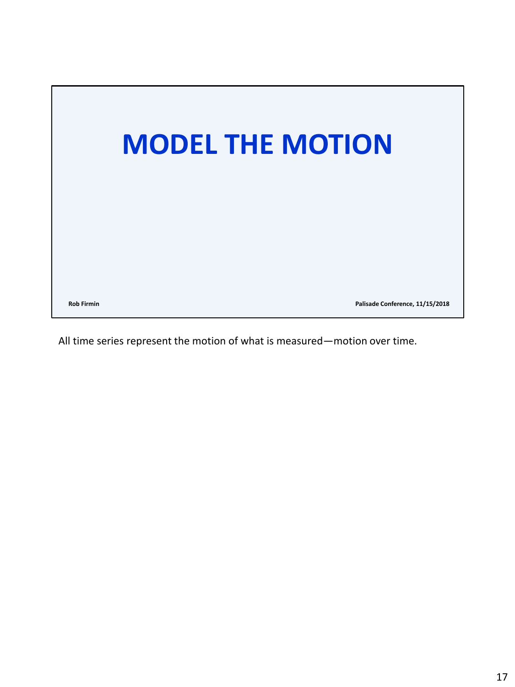

All time series represent the motion of what is measured—motion over time.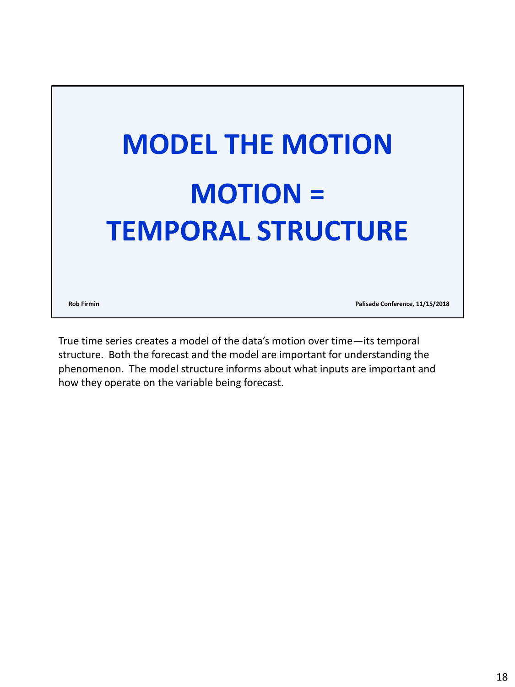

True time series creates a model of the data's motion over time—its temporal structure. Both the forecast and the model are important for understanding the phenomenon. The model structure informs about what inputs are important and how they operate on the variable being forecast.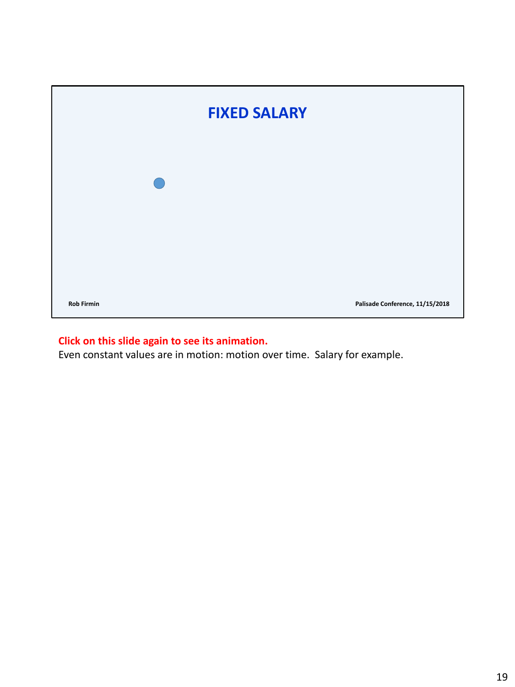| <b>FIXED SALARY</b> |  |  |                                 |  |  |
|---------------------|--|--|---------------------------------|--|--|
|                     |  |  |                                 |  |  |
|                     |  |  |                                 |  |  |
|                     |  |  |                                 |  |  |
| <b>Rob Firmin</b>   |  |  | Palisade Conference, 11/15/2018 |  |  |

#### **Click on this slide again to see its animation.**

Even constant values are in motion: motion over time. Salary for example.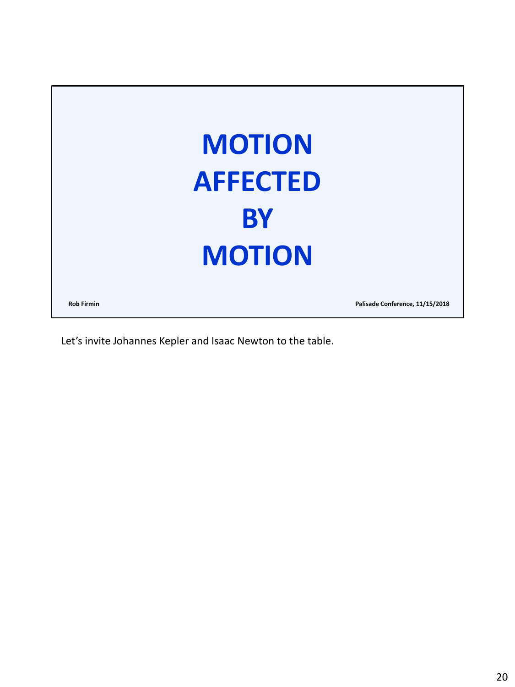

Let's invite Johannes Kepler and Isaac Newton to the table.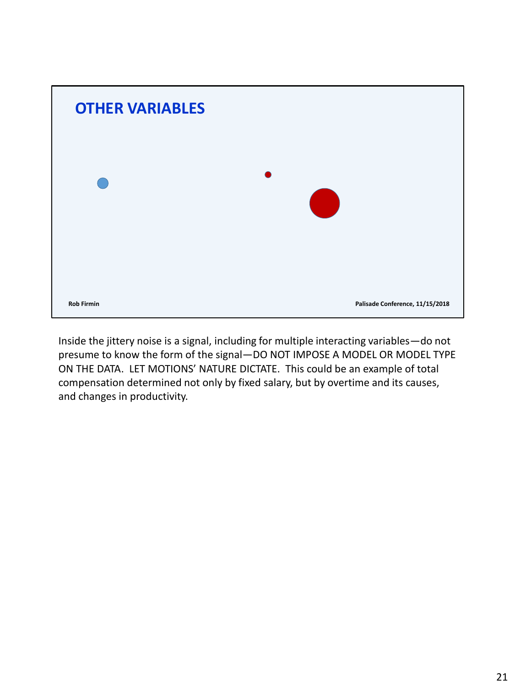

Inside the jittery noise is a signal, including for multiple interacting variables—do not presume to know the form of the signal—DO NOT IMPOSE A MODEL OR MODEL TYPE ON THE DATA. LET MOTIONS' NATURE DICTATE. This could be an example of total compensation determined not only by fixed salary, but by overtime and its causes, and changes in productivity.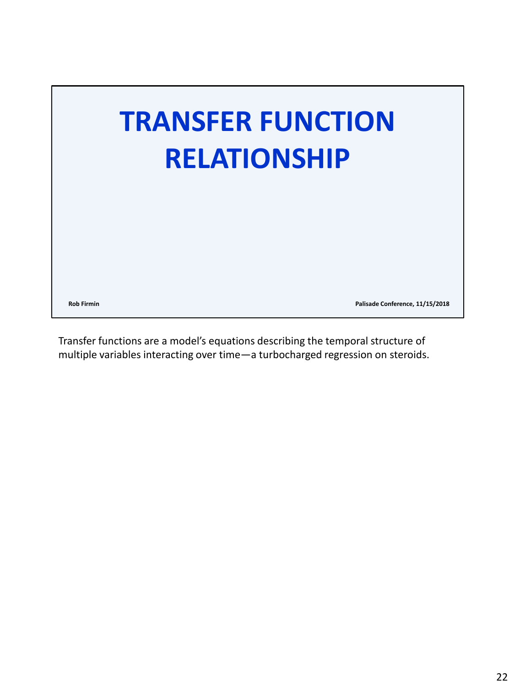

Transfer functions are a model's equations describing the temporal structure of multiple variables interacting over time—a turbocharged regression on steroids.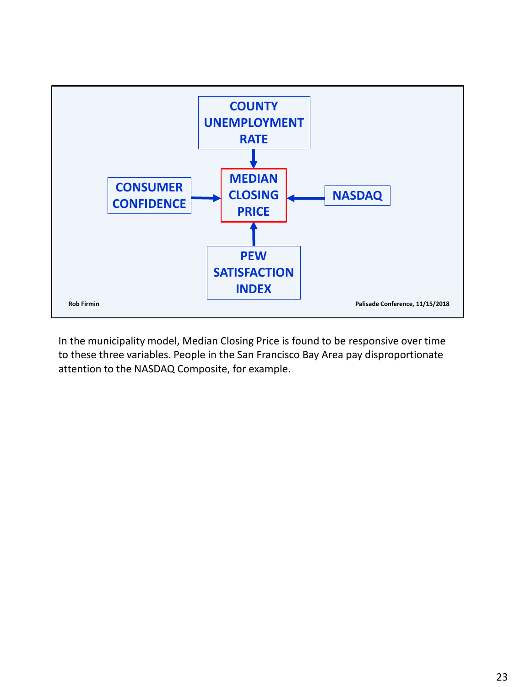

In the municipality model, Median Closing Price is found to be responsive over time to these three variables. People in the San Francisco Bay Area pay disproportionate attention to the NASDAQ Composite, for example.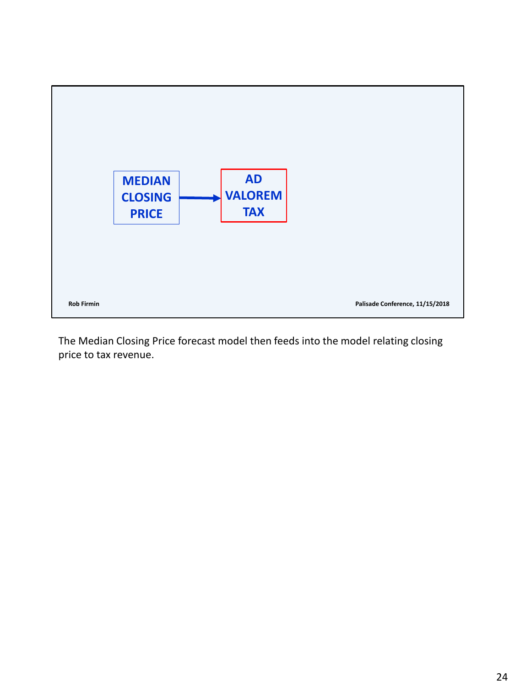

The Median Closing Price forecast model then feeds into the model relating closing price to tax revenue.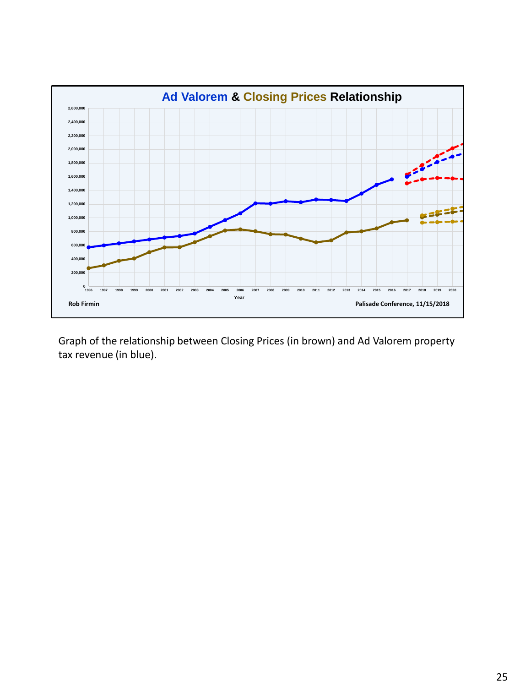

Graph of the relationship between Closing Prices (in brown) and Ad Valorem property tax revenue (in blue).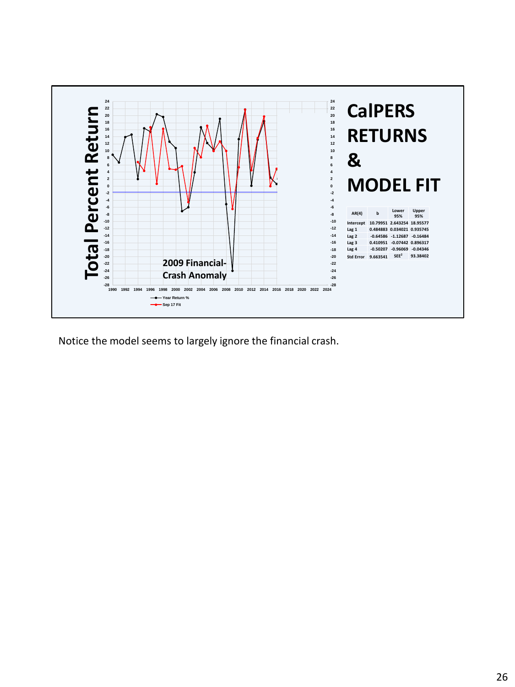

Notice the model seems to largely ignore the financial crash.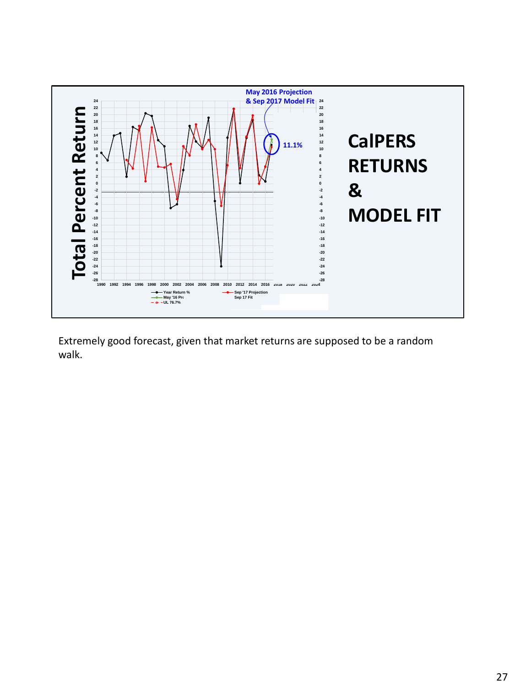

Extremely good forecast, given that market returns are supposed to be a random walk.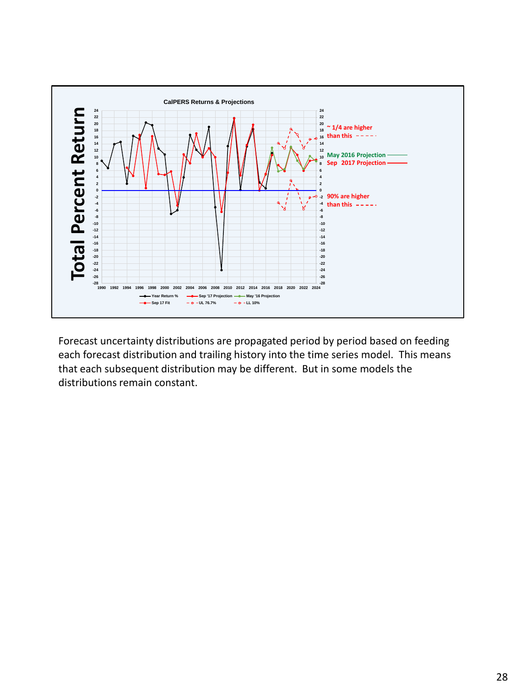

Forecast uncertainty distributions are propagated period by period based on feeding each forecast distribution and trailing history into the time series model. This means that each subsequent distribution may be different. But in some models the distributions remain constant.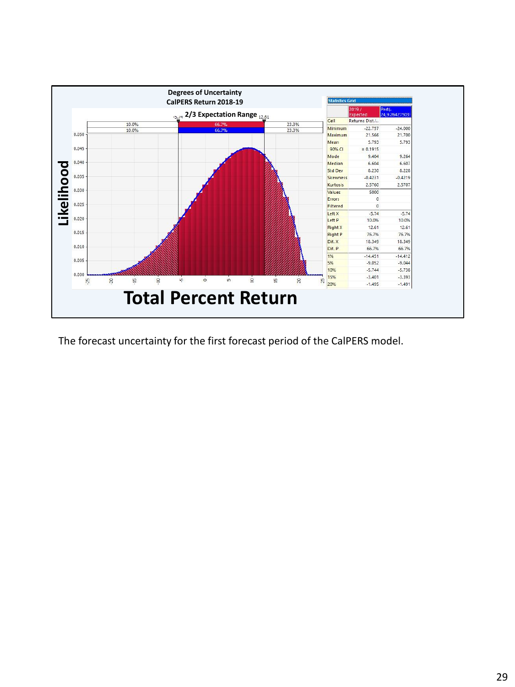![](_page_28_Figure_0.jpeg)

The forecast uncertainty for the first forecast period of the CalPERS model.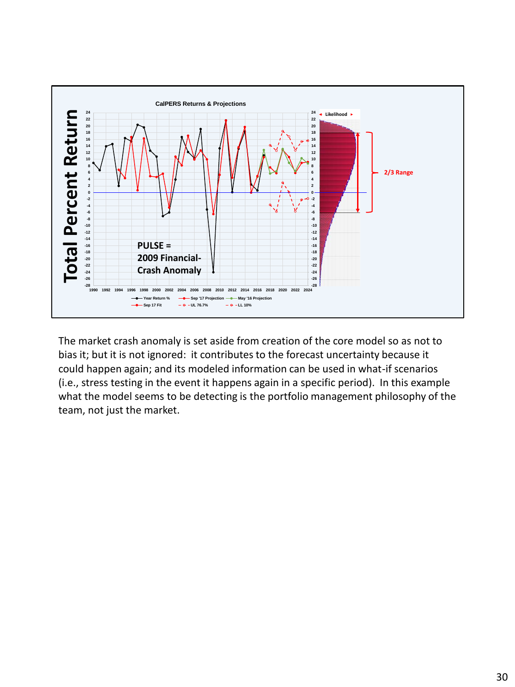![](_page_29_Figure_0.jpeg)

The market crash anomaly is set aside from creation of the core model so as not to bias it; but it is not ignored: it contributes to the forecast uncertainty because it could happen again; and its modeled information can be used in what-if scenarios (i.e., stress testing in the event it happens again in a specific period). In this example what the model seems to be detecting is the portfolio management philosophy of the team, not just the market.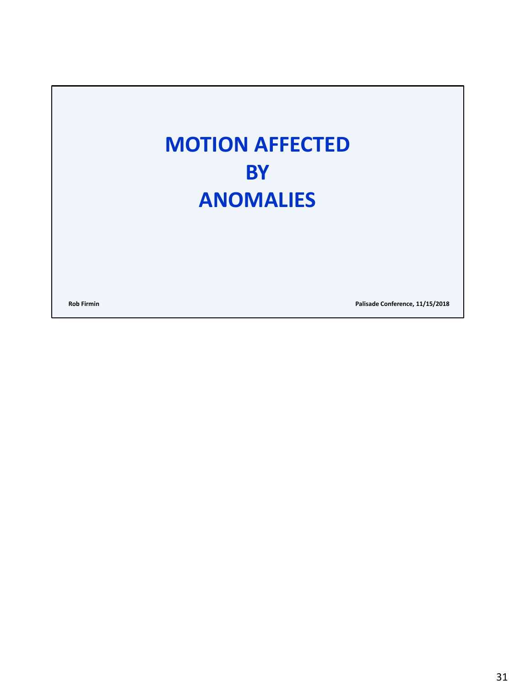### **MOTION AFFECTED BY ANOMALIES**

**Rob Firmin Palisade Conference, 11/15/2018**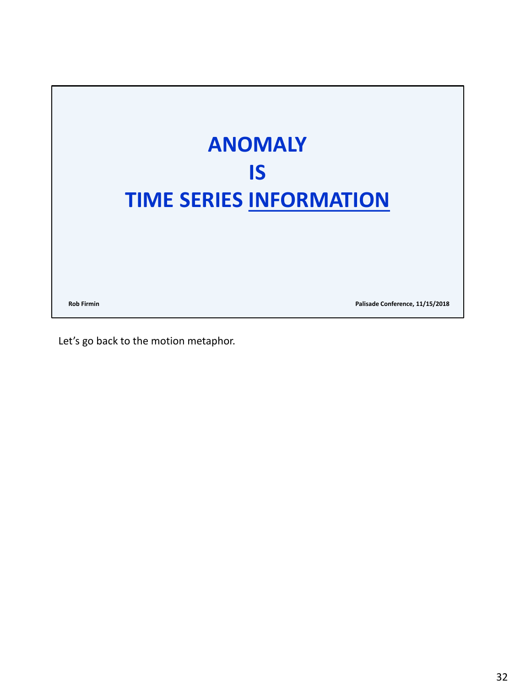![](_page_31_Picture_0.jpeg)

Let's go back to the motion metaphor.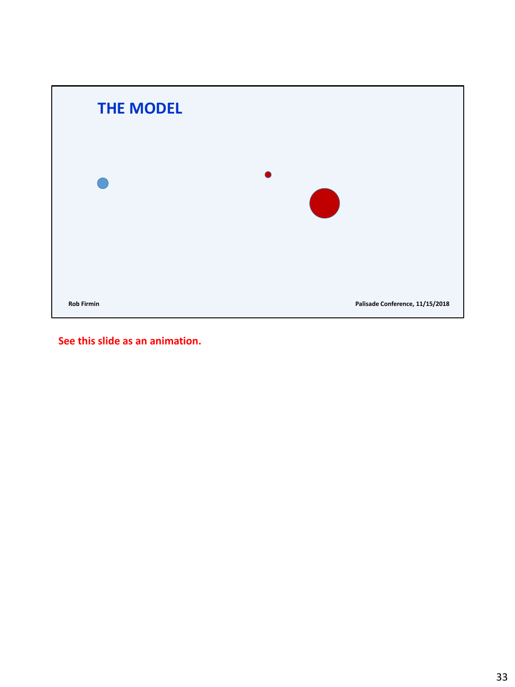![](_page_32_Picture_0.jpeg)

**See this slide as an animation.**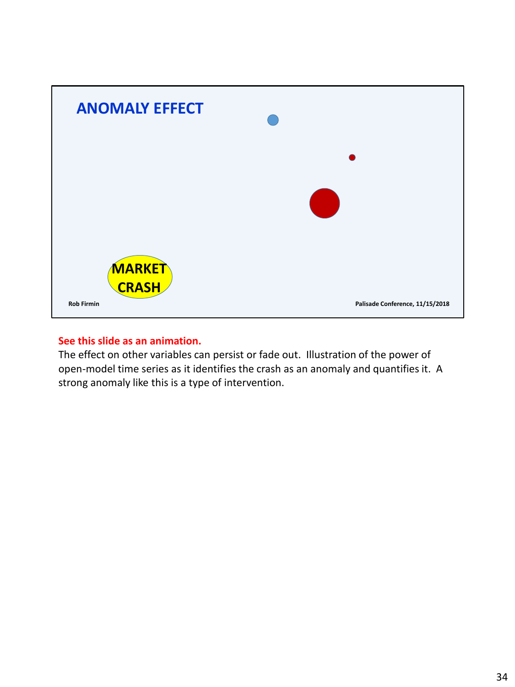![](_page_33_Picture_0.jpeg)

#### **See this slide as an animation.**

The effect on other variables can persist or fade out. Illustration of the power of open-model time series as it identifies the crash as an anomaly and quantifies it. A strong anomaly like this is a type of intervention.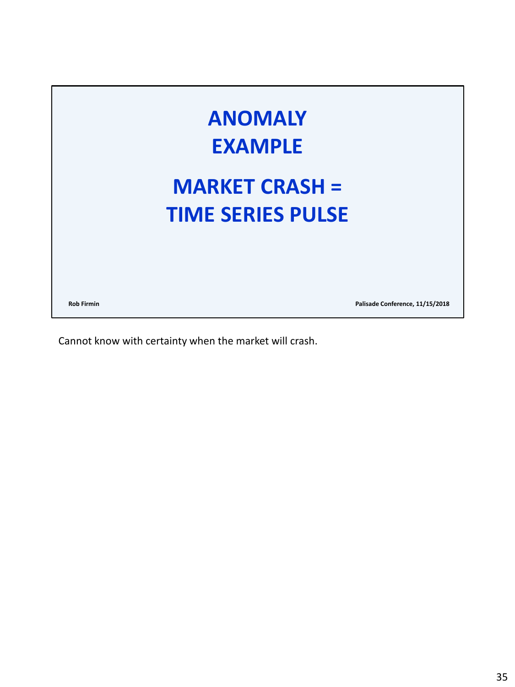![](_page_34_Picture_0.jpeg)

Cannot know with certainty when the market will crash.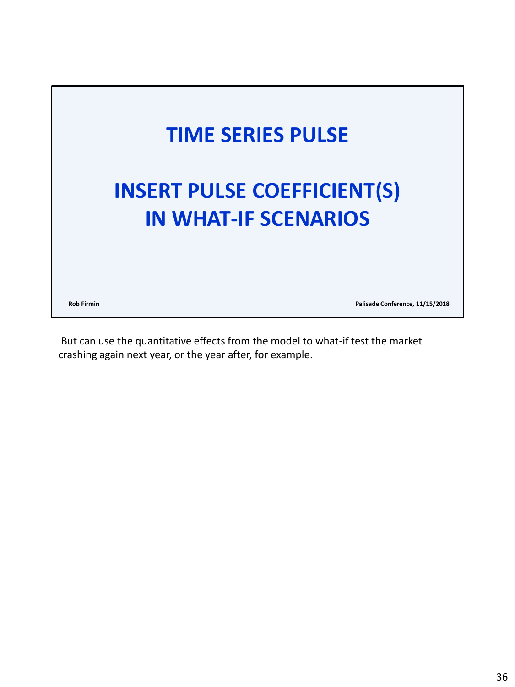![](_page_35_Picture_0.jpeg)

But can use the quantitative effects from the model to what-if test the market crashing again next year, or the year after, for example.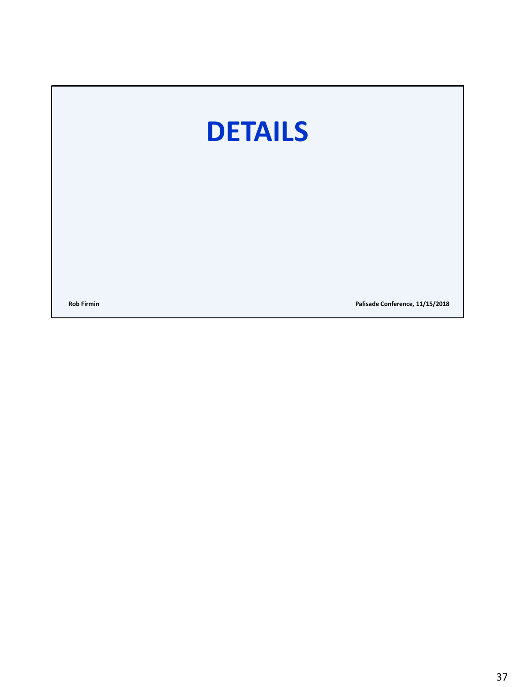# **DETAILS**

**Rob Firmin Palisade Conference, 11/15/2018**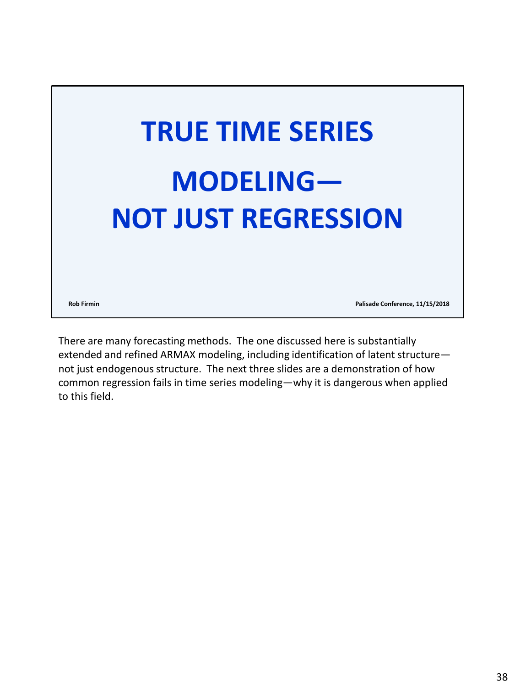![](_page_37_Picture_0.jpeg)

There are many forecasting methods. The one discussed here is substantially extended and refined ARMAX modeling, including identification of latent structure not just endogenous structure. The next three slides are a demonstration of how common regression fails in time series modeling—why it is dangerous when applied to this field.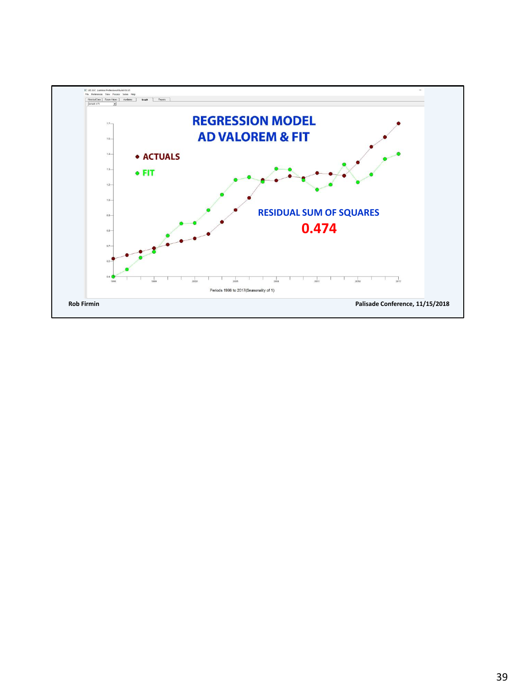![](_page_38_Figure_0.jpeg)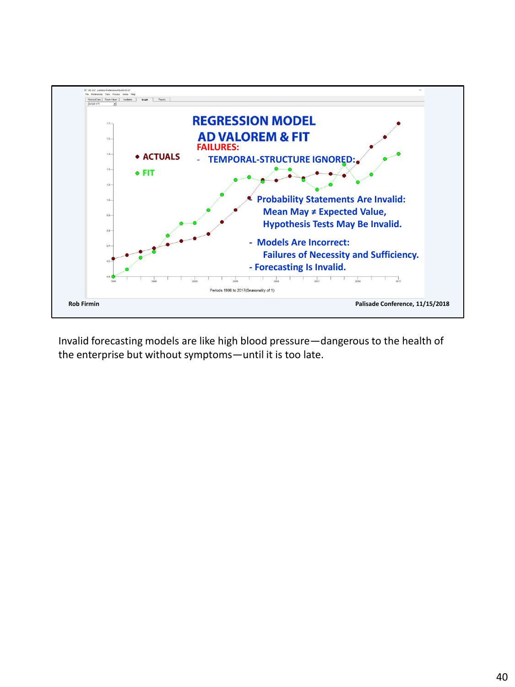![](_page_39_Figure_0.jpeg)

Invalid forecasting models are like high blood pressure—dangerous to the health of the enterprise but without symptoms—until it is too late.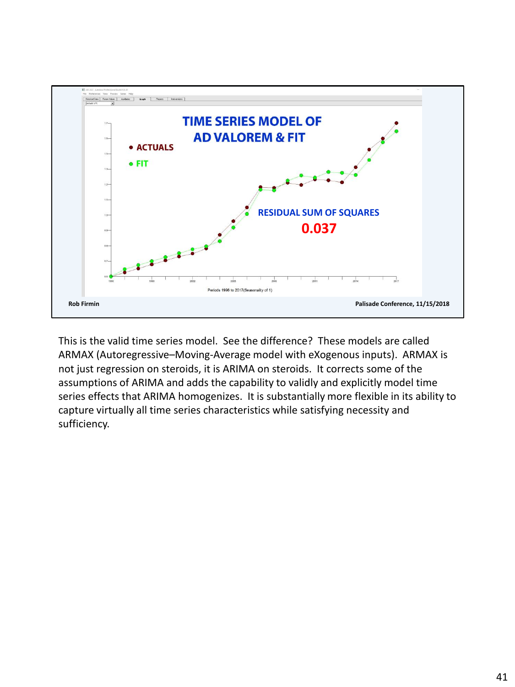![](_page_40_Figure_0.jpeg)

This is the valid time series model. See the difference? These models are called ARMAX (Autoregressive–Moving-Average model with eXogenous inputs). ARMAX is not just regression on steroids, it is ARIMA on steroids. It corrects some of the assumptions of ARIMA and adds the capability to validly and explicitly model time series effects that ARIMA homogenizes. It is substantially more flexible in its ability to capture virtually all time series characteristics while satisfying necessity and sufficiency.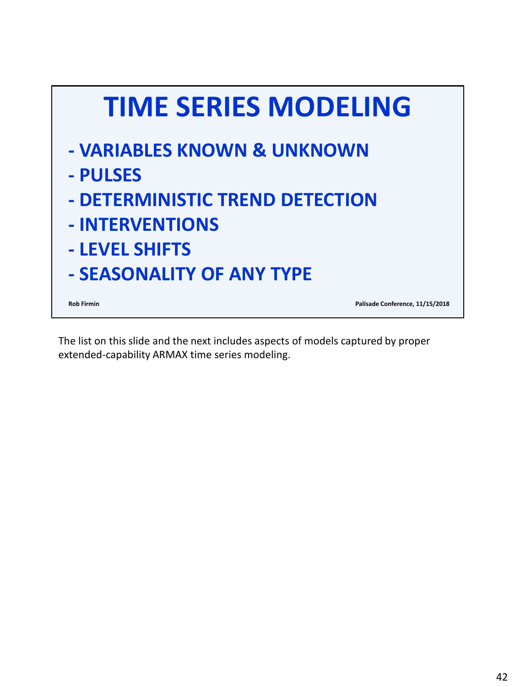![](_page_41_Picture_0.jpeg)

The list on this slide and the next includes aspects of models captured by proper extended-capability ARMAX time series modeling.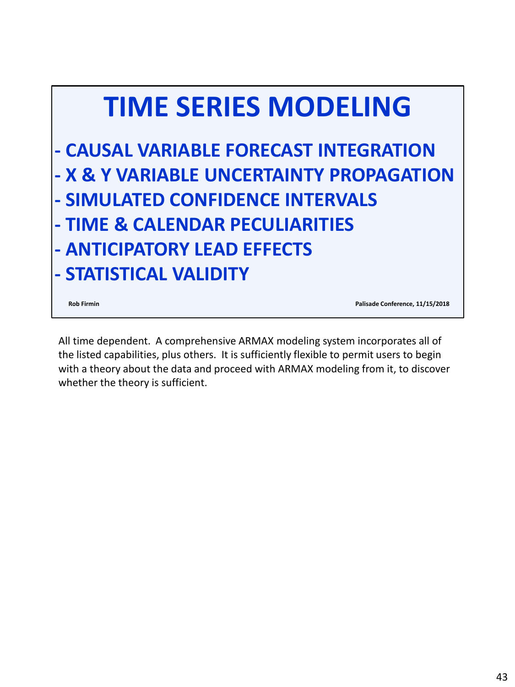![](_page_42_Picture_0.jpeg)

**Rob Firmin Palisade Conference, 11/15/2018**

All time dependent. A comprehensive ARMAX modeling system incorporates all of the listed capabilities, plus others. It is sufficiently flexible to permit users to begin with a theory about the data and proceed with ARMAX modeling from it, to discover whether the theory is sufficient.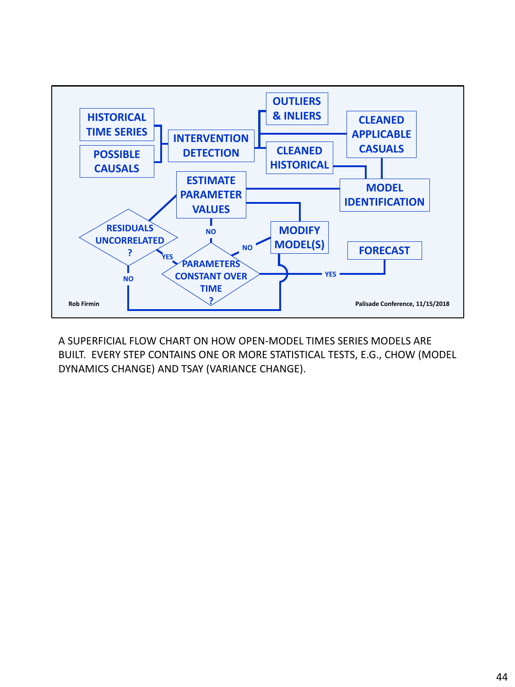![](_page_43_Figure_0.jpeg)

A SUPERFICIAL FLOW CHART ON HOW OPEN-MODEL TIMES SERIES MODELS ARE BUILT. EVERY STEP CONTAINS ONE OR MORE STATISTICAL TESTS, E.G., CHOW (MODEL DYNAMICS CHANGE) AND TSAY (VARIANCE CHANGE).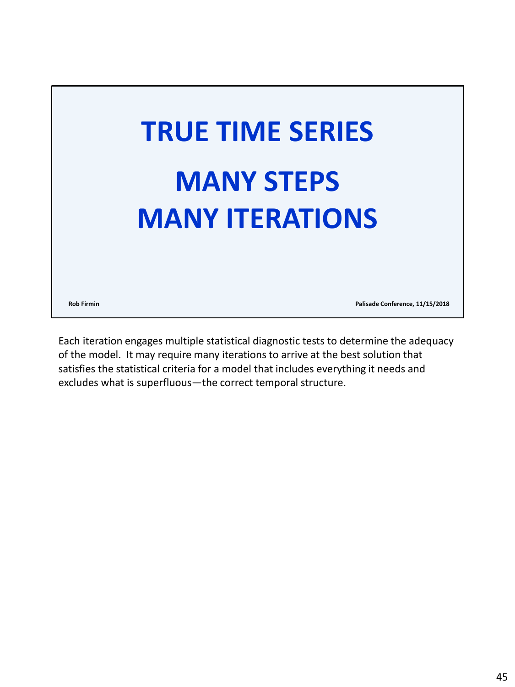![](_page_44_Picture_0.jpeg)

Each iteration engages multiple statistical diagnostic tests to determine the adequacy of the model. It may require many iterations to arrive at the best solution that satisfies the statistical criteria for a model that includes everything it needs and excludes what is superfluous—the correct temporal structure.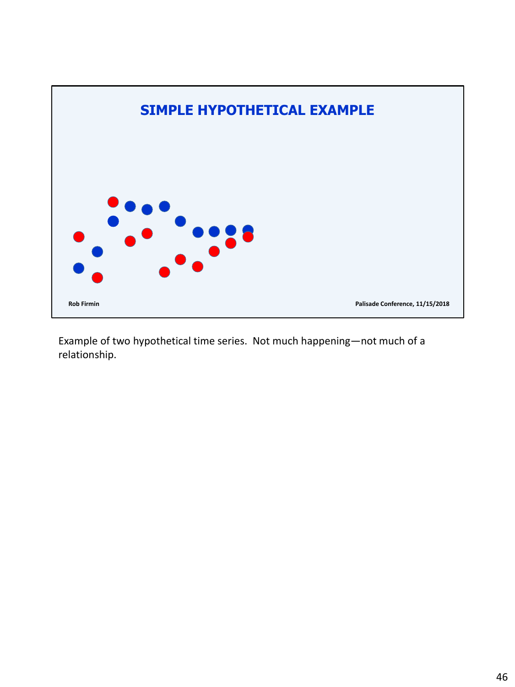![](_page_45_Figure_0.jpeg)

Example of two hypothetical time series. Not much happening—not much of a relationship.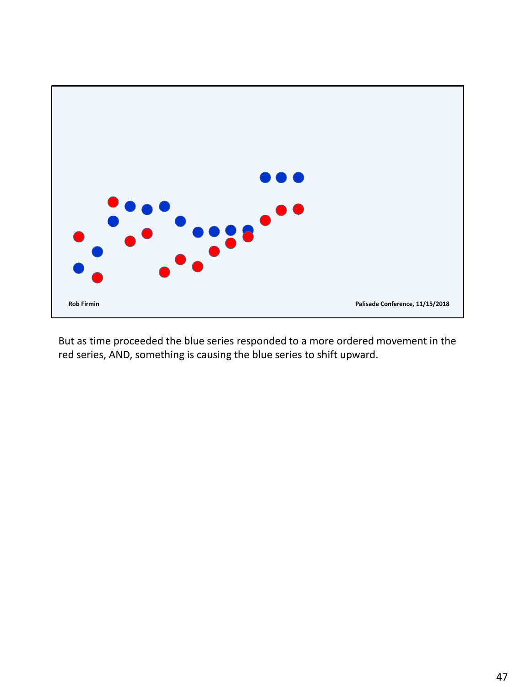![](_page_46_Figure_0.jpeg)

But as time proceeded the blue series responded to a more ordered movement in the red series, AND, something is causing the blue series to shift upward.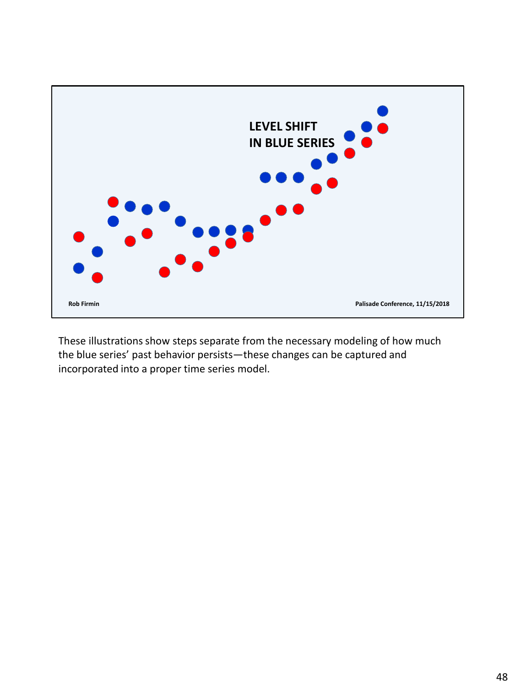![](_page_47_Figure_0.jpeg)

These illustrations show steps separate from the necessary modeling of how much the blue series' past behavior persists—these changes can be captured and incorporated into a proper time series model.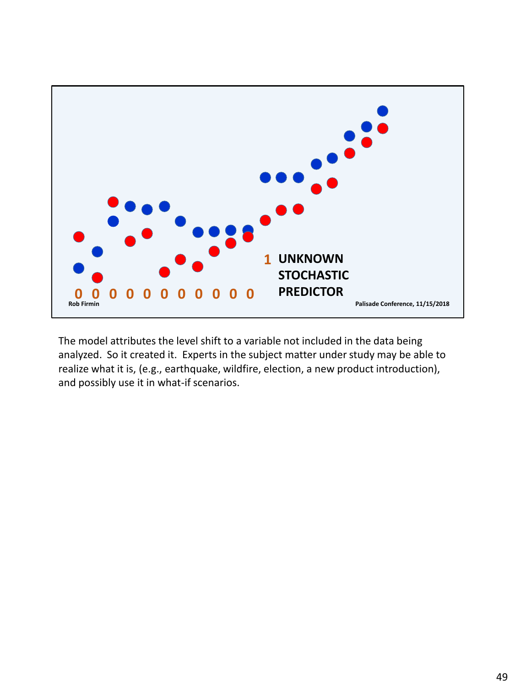![](_page_48_Figure_0.jpeg)

The model attributes the level shift to a variable not included in the data being analyzed. So it created it. Experts in the subject matter under study may be able to realize what it is, (e.g., earthquake, wildfire, election, a new product introduction), and possibly use it in what-if scenarios.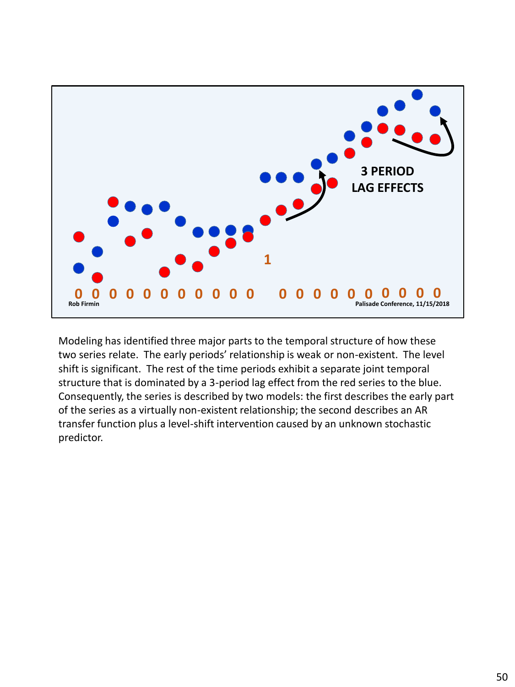![](_page_49_Figure_0.jpeg)

Modeling has identified three major parts to the temporal structure of how these two series relate. The early periods' relationship is weak or non-existent. The level shift is significant. The rest of the time periods exhibit a separate joint temporal structure that is dominated by a 3-period lag effect from the red series to the blue. Consequently, the series is described by two models: the first describes the early part of the series as a virtually non-existent relationship; the second describes an AR transfer function plus a level-shift intervention caused by an unknown stochastic predictor.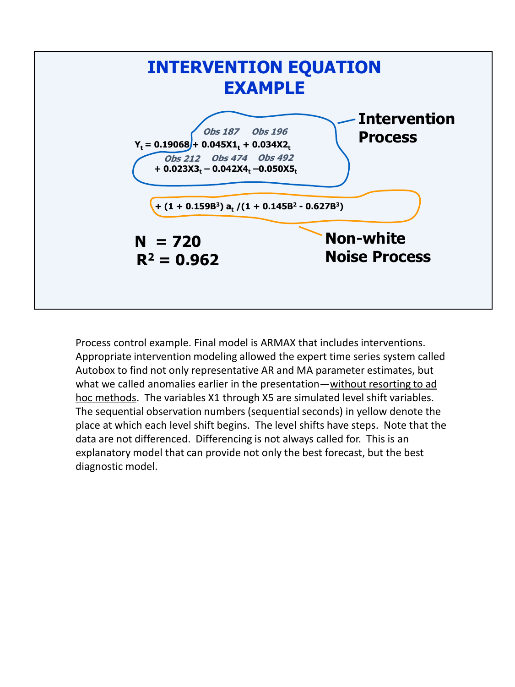![](_page_50_Figure_0.jpeg)

Process control example. Final model is ARMAX that includes interventions. Appropriate intervention modeling allowed the expert time series system called Autobox to find not only representative AR and MA parameter estimates, but what we called anomalies earlier in the presentation—without resorting to ad hoc methods. The variables X1 through X5 are simulated level shift variables. The sequential observation numbers (sequential seconds) in yellow denote the place at which each level shift begins. The level shifts have steps. Note that the data are not differenced. Differencing is not always called for. This is an explanatory model that can provide not only the best forecast, but the best diagnostic model.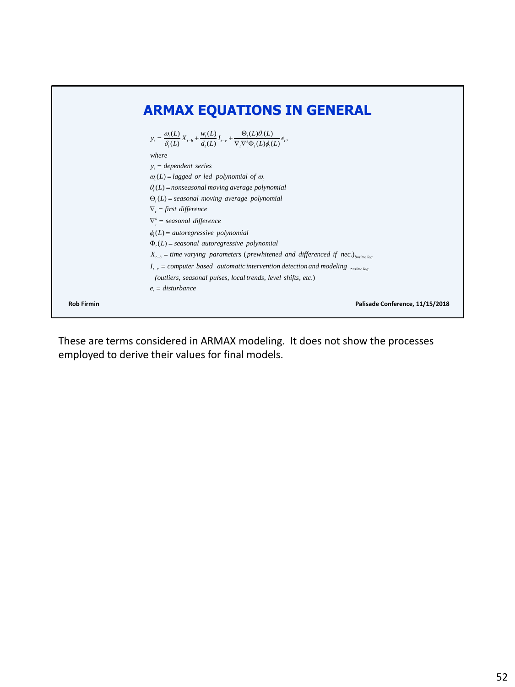![](_page_51_Figure_0.jpeg)

These are terms considered in ARMAX modeling. It does not show the processes employed to derive their values for final models.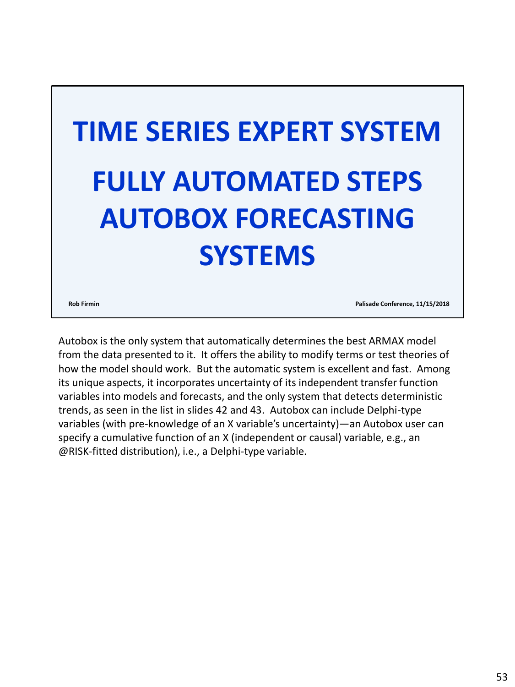![](_page_52_Picture_0.jpeg)

**Rob Firmin Palisade Conference, 11/15/2018**

Autobox is the only system that automatically determines the best ARMAX model from the data presented to it. It offers the ability to modify terms or test theories of how the model should work. But the automatic system is excellent and fast. Among its unique aspects, it incorporates uncertainty of its independent transfer function variables into models and forecasts, and the only system that detects deterministic trends, as seen in the list in slides 42 and 43. Autobox can include Delphi-type variables (with pre-knowledge of an X variable's uncertainty)—an Autobox user can specify a cumulative function of an X (independent or causal) variable, e.g., an @RISK-fitted distribution), i.e., a Delphi-type variable.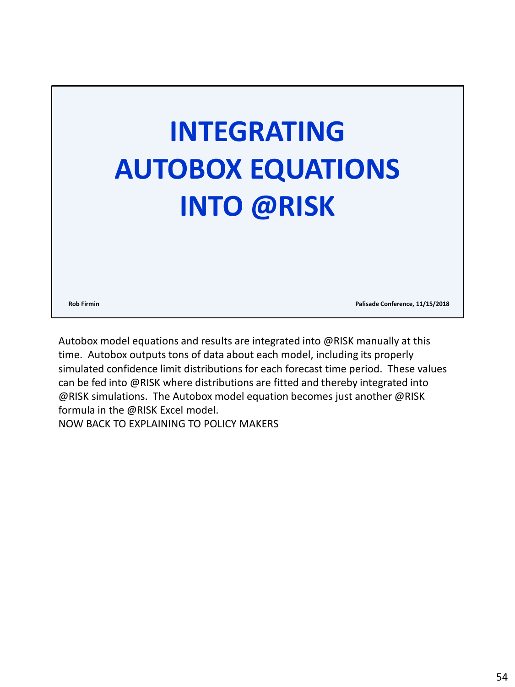![](_page_53_Picture_0.jpeg)

**Rob Firmin Palisade Conference, 11/15/2018**

Autobox model equations and results are integrated into @RISK manually at this time. Autobox outputs tons of data about each model, including its properly simulated confidence limit distributions for each forecast time period. These values can be fed into @RISK where distributions are fitted and thereby integrated into @RISK simulations. The Autobox model equation becomes just another @RISK formula in the @RISK Excel model.

NOW BACK TO EXPLAINING TO POLICY MAKERS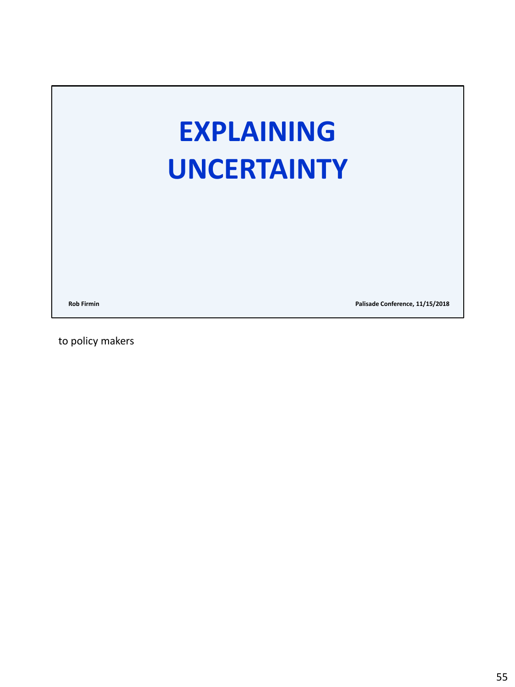# **EXPLAINING UNCERTAINTY**

**Rob Firmin Palisade Conference, 11/15/2018**

to policy makers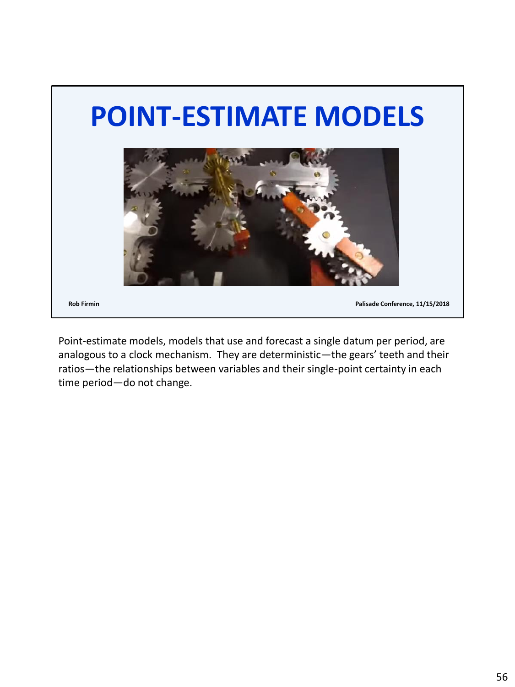![](_page_55_Picture_0.jpeg)

Point-estimate models, models that use and forecast a single datum per period, are analogous to a clock mechanism. They are deterministic—the gears' teeth and their ratios—the relationships between variables and their single-point certainty in each time period—do not change.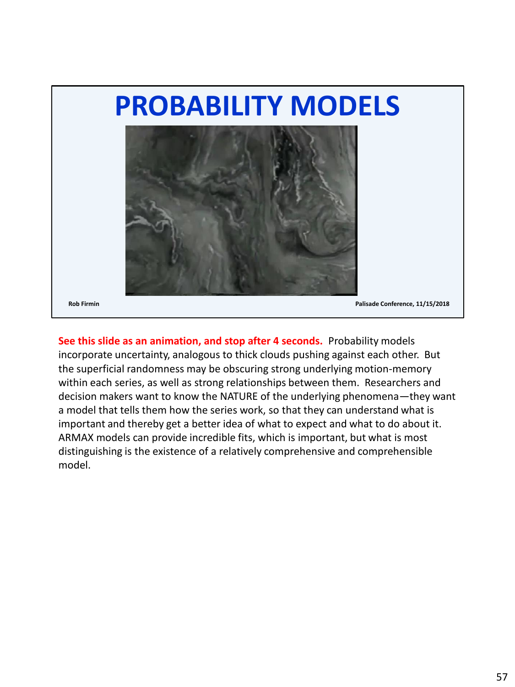![](_page_56_Picture_0.jpeg)

**See this slide as an animation, and stop after 4 seconds.** Probability models incorporate uncertainty, analogous to thick clouds pushing against each other. But the superficial randomness may be obscuring strong underlying motion-memory within each series, as well as strong relationships between them. Researchers and decision makers want to know the NATURE of the underlying phenomena—they want a model that tells them how the series work, so that they can understand what is important and thereby get a better idea of what to expect and what to do about it. ARMAX models can provide incredible fits, which is important, but what is most distinguishing is the existence of a relatively comprehensive and comprehensible model.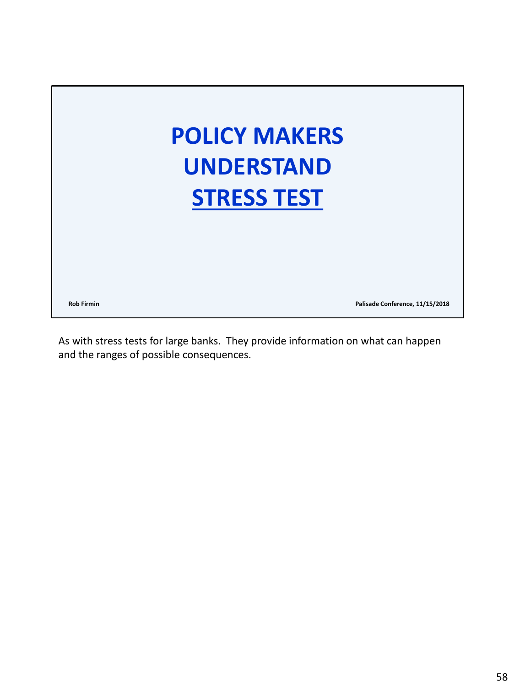![](_page_57_Picture_0.jpeg)

As with stress tests for large banks. They provide information on what can happen and the ranges of possible consequences.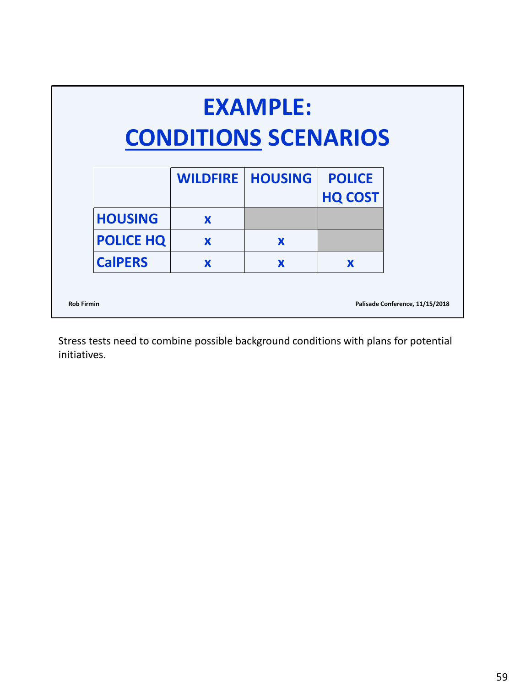| <b>EXAMPLE:</b><br><b>CONDITIONS SCENARIOS</b> |                 |                |                                 |                                 |  |  |  |
|------------------------------------------------|-----------------|----------------|---------------------------------|---------------------------------|--|--|--|
|                                                | <b>WILDFIRE</b> | <b>HOUSING</b> | <b>POLICE</b><br><b>HQ COST</b> |                                 |  |  |  |
| <b>HOUSING</b>                                 | X               |                |                                 |                                 |  |  |  |
| <b>POLICE HQ</b>                               | X               | X              |                                 |                                 |  |  |  |
| <b>CalPERS</b>                                 | X               | X              | X                               |                                 |  |  |  |
| <b>Rob Firmin</b>                              |                 |                |                                 | Palisade Conference, 11/15/2018 |  |  |  |

Stress tests need to combine possible background conditions with plans for potential initiatives.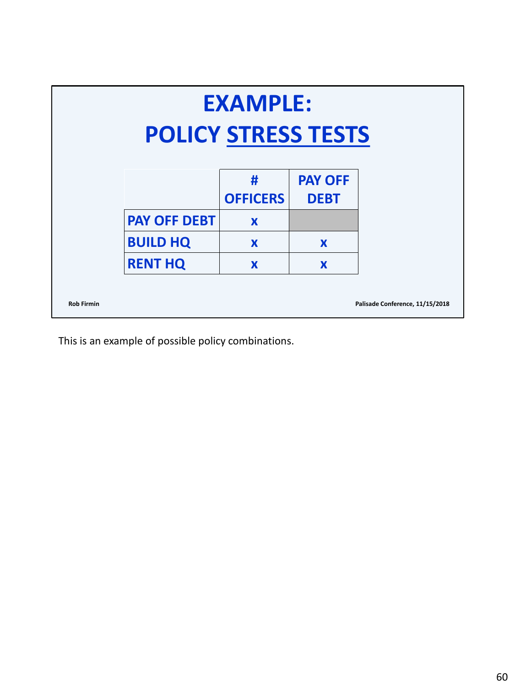| <b>EXAMPLE:</b><br><b>POLICY STRESS TESTS</b> |                     |                      |                               |                                 |  |  |
|-----------------------------------------------|---------------------|----------------------|-------------------------------|---------------------------------|--|--|
|                                               |                     | #<br><b>OFFICERS</b> | <b>PAY OFF</b><br><b>DEBT</b> |                                 |  |  |
|                                               | <b>PAY OFF DEBT</b> | $\mathbf x$          |                               |                                 |  |  |
|                                               | <b>BUILD HQ</b>     | X                    | X                             |                                 |  |  |
|                                               | <b>RENT HQ</b>      | X                    | X                             |                                 |  |  |
| <b>Rob Firmin</b>                             |                     |                      |                               | Palisade Conference, 11/15/2018 |  |  |

This is an example of possible policy combinations.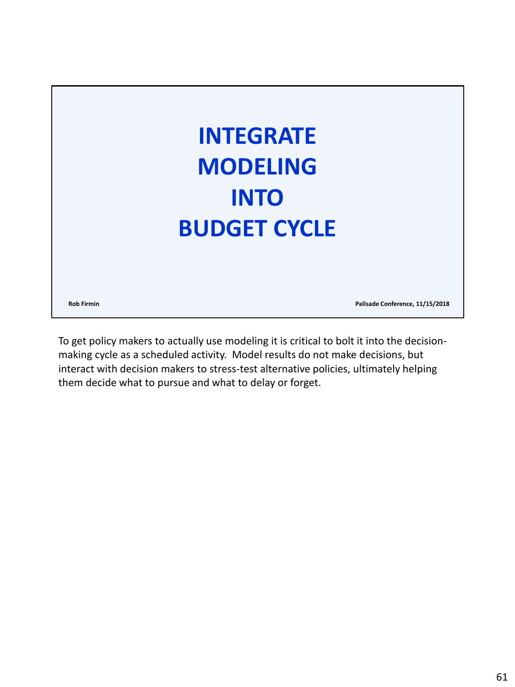![](_page_60_Picture_0.jpeg)

To get policy makers to actually use modeling it is critical to bolt it into the decisionmaking cycle as a scheduled activity. Model results do not make decisions, but interact with decision makers to stress-test alternative policies, ultimately helping them decide what to pursue and what to delay or forget.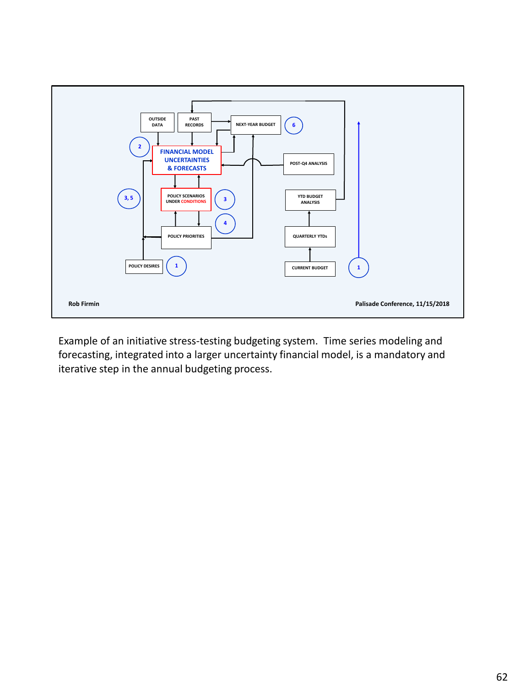![](_page_61_Figure_0.jpeg)

Example of an initiative stress-testing budgeting system. Time series modeling and forecasting, integrated into a larger uncertainty financial model, is a mandatory and iterative step in the annual budgeting process.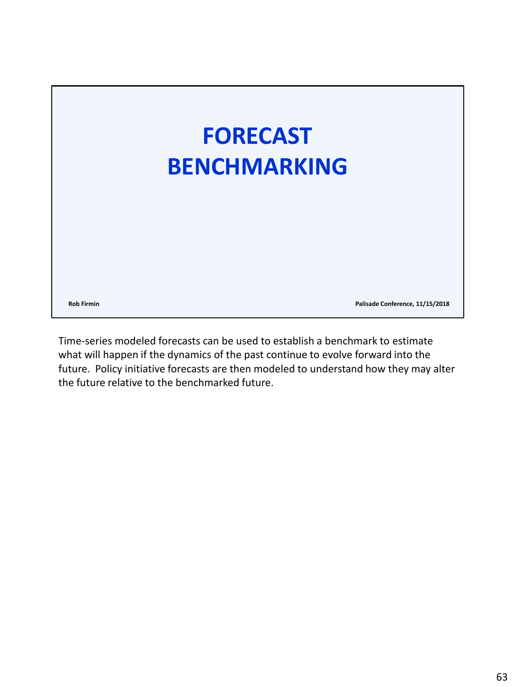![](_page_62_Picture_0.jpeg)

Time-series modeled forecasts can be used to establish a benchmark to estimate what will happen if the dynamics of the past continue to evolve forward into the future. Policy initiative forecasts are then modeled to understand how they may alter the future relative to the benchmarked future.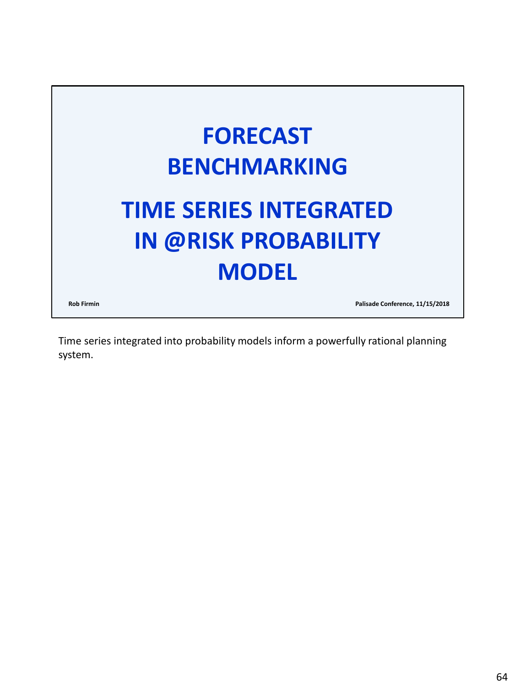![](_page_63_Picture_0.jpeg)

Time series integrated into probability models inform a powerfully rational planning system.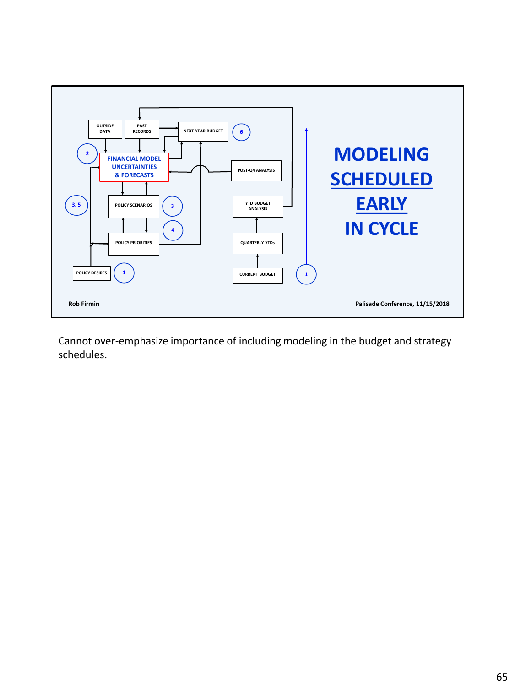![](_page_64_Figure_0.jpeg)

Cannot over-emphasize importance of including modeling in the budget and strategy schedules.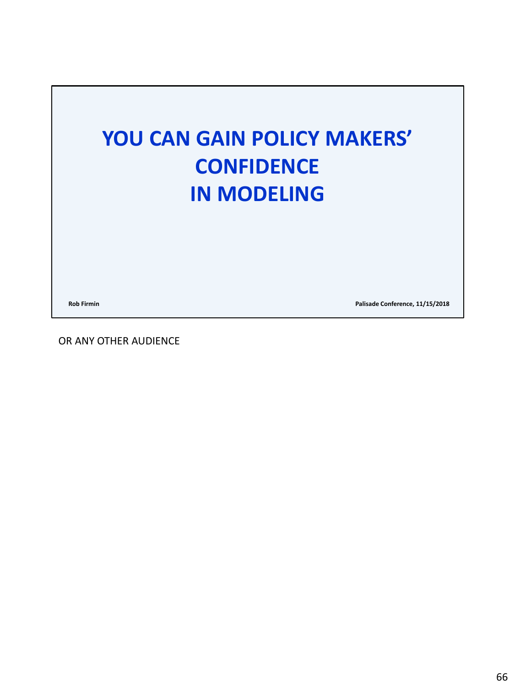![](_page_65_Picture_0.jpeg)

**Rob Firmin Palisade Conference, 11/15/2018**

OR ANY OTHER AUDIENCE